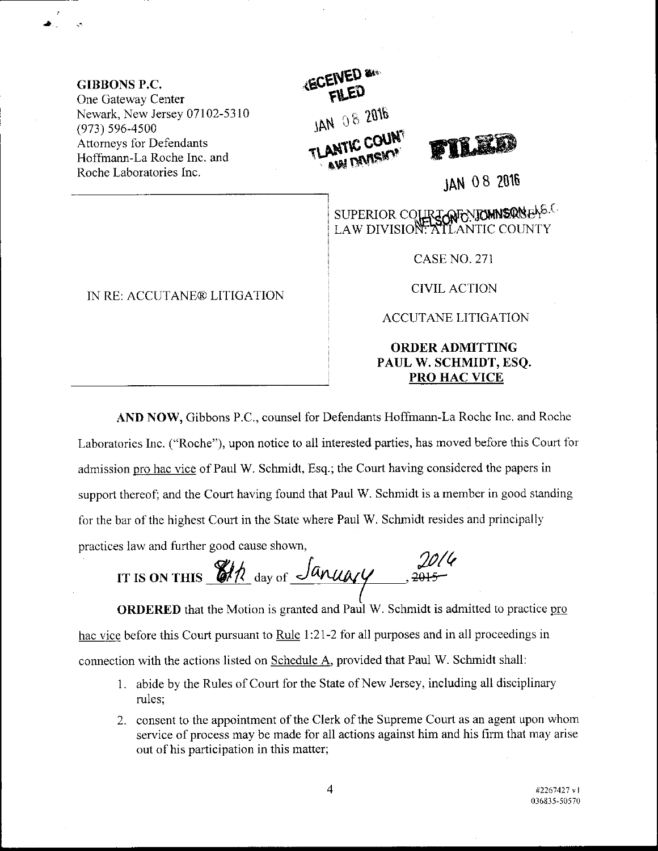GIBBONS P.C. One Gateway Center Newark, New Jersey 07102-5310 (973) s96-4s00 Attorneys for Defendants Hoffmann-La Roche Inc. and Roche Laboratories Inc.



JAN 08 <sup>2018</sup>

SUPERIOR COLLREGATORIEN BRNENS.C LAW DIVISION: ATLANTIC COUNTY

CASE NO. 271

CIVIL ACTION

ACCUTANE LITIGATION

## ORDER ADMITTING PAUL W. SCHMIDT, ESQ. PRO HAC VICE

AND NOW, Gibbons P.C., counsel for Defendants Hoffmann-La Roche Inc. and Roche Laboratories Inc. ("Roche"), upon notice to all interested parties, has moved before this Court for admission pro hac vice of Paul W. Schmidt, Esq.; the Court having considered the papers in support thereof; and the Court having found that Paul W. Schmidt is a member in good standing for the bar of the highest Court in the State where Paul W. Schmidt resides and principally practices law and further good cause shown,

IT IS ON THIS  $\frac{\partial h}{\partial x}$  day of  $\frac{\partial h}{\partial y}$ ,  $\frac{\partial h}{\partial z}$ 

**ORDERED** that the Motion is granted and Paul W. Schmidt is admitted to practice pro hac vice before this Court pursuant to Rule 1:21-2 for all purposes and in all proceedings in connection with the actions listed on Schedule A, provided that Paul W. Schmidt shall:

- 1. abide by the Rules of Court for the State of New Jersey, including all disciplinary rules;
- 2. consent to the appointment of the Clerk of the Supreme Court as an agent upon whom service of process may be made for all actions against him and his firm that may arise out of his participation in this matter;

IN RE: ACCUTANE® LITIGATION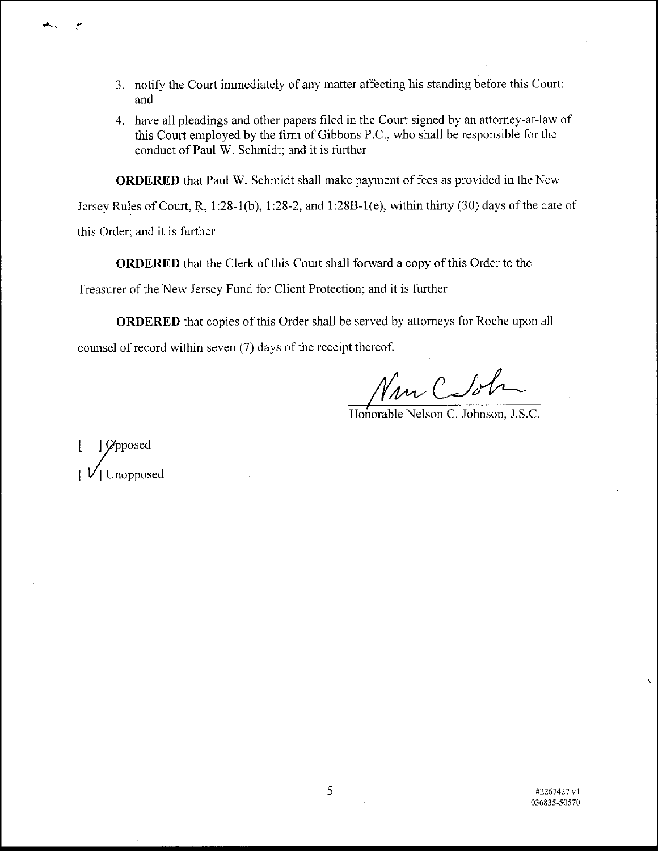- 3. notify the Court immediately of any matter affecting his standing before this Coun; and
- 4. have all pleadings and other papers filed in the Court signed by an attorney-at-law- of this Court employed by the firm of Gibbons P.C., who shall be responsible for the conduct of Paul W. Schmidt; and it is further

ORDERED that Paul W. Schmidt shall make payment of fees as provided in the Neu'

Jersey Rules of Court, R. 1:28-1(b), 1:28-2, and 1:28B-1(e), within thirty (30) days of the date of

this Order; and it is further

ORDERED that the Clerk of this Court shall forward a copy of this Order to the

Treasurer of the New Jersey Fund for Client Protection; and it is further

ORDERED that copies of this Order shall be served by attorneys for Roche upon all counsel of record within seven (7) days of the receipt thereof.

 $\gamma_{\mu\nu}$  C

Honorable Nelson C. Johnson, J.S.C.

L )/ooosed | Unopposed